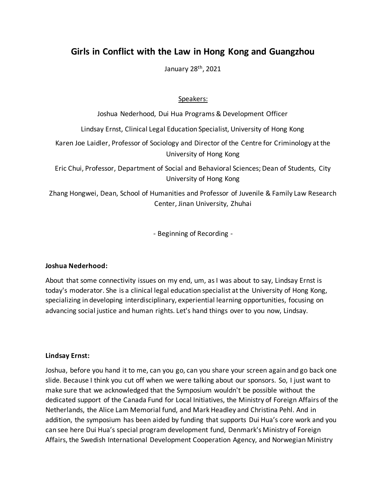# **Girls in Conflict with the Law in Hong Kong and Guangzhou**

January 28th, 2021

# Speakers:

Joshua Nederhood, Dui Hua Programs & Development Officer

Lindsay Ernst, Clinical Legal Education Specialist, University of Hong Kong

Karen Joe Laidler, Professor of Sociology and Director of the Centre for Criminology at the University of Hong Kong

Eric Chui, Professor, Department of Social and Behavioral Sciences; Dean of Students, City University of Hong Kong

Zhang Hongwei, Dean, School of Humanities and Professor of Juvenile & Family Law Research Center, Jinan University, Zhuhai

- Beginning of Recording -

# **Joshua Nederhood:**

About that some connectivity issues on my end, um, as I was about to say, Lindsay Ernst is today's moderator. She is a clinical legal education specialist at the University of Hong Kong, specializing in developing interdisciplinary, experiential learning opportunities, focusing on advancing social justice and human rights. Let's hand things over to you now, Lindsay.

# **Lindsay Ernst:**

Joshua, before you hand it to me, can you go, can you share your screen again and go back one slide. Because I think you cut off when we were talking about our sponsors. So, I just want to make sure that we acknowledged that the Symposium wouldn't be possible without the dedicated support of the Canada Fund for Local Initiatives, the Ministry of Foreign Affairs of the Netherlands, the Alice Lam Memorial fund, and Mark Headley and Christina Pehl. And in addition, the symposium has been aided by funding that supports Dui Hua's core work and you can see here Dui Hua's special program development fund, Denmark's Ministry of Foreign Affairs, the Swedish International Development Cooperation Agency, and Norwegian Ministry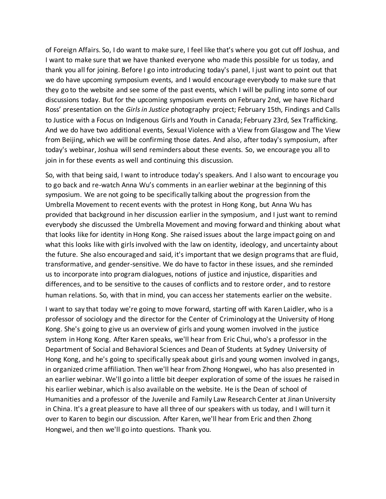of Foreign Affairs. So, I do want to make sure, I feel like that's where you got cut off Joshua, and I want to make sure that we have thanked everyone who made this possible for us today, and thank you all for joining. Before I go into introducing today's panel, I just want to point out that we do have upcoming symposium events, and I would encourage everybody to make sure that they go to the website and see some of the past events, which I will be pulling into some of our discussions today. But for the upcoming symposium events on February 2nd, we have Richard Ross' presentation on the *Girls in Justice* photography project; February 15th, Findings and Calls to Justice with a Focus on Indigenous Girls and Youth in Canada; February 23rd, Sex Trafficking. And we do have two additional events, Sexual Violence with a View from Glasgow and The View from Beijing, which we will be confirming those dates. And also, after today's symposium, after today's webinar, Joshua will send reminders about these events. So, we encourage you all to join in for these events as well and continuing this discussion.

So, with that being said, I want to introduce today's speakers. And I also want to encourage you to go back and re-watch Anna Wu's comments in an earlier webinar at the beginning of this symposium. We are not going to be specifically talking about the progression from the Umbrella Movement to recent events with the protest in Hong Kong, but Anna Wu has provided that background in her discussion earlier in the symposium, and I just want to remind everybody she discussed the Umbrella Movement and moving forward and thinking about what that looks like for identity in Hong Kong. She raised issues about the large impact going on and what this looks like with girls involved with the law on identity, ideology, and uncertainty about the future. She also encouraged and said, it's important that we design programs that are fluid, transformative, and gender-sensitive. We do have to factor in these issues, and she reminded us to incorporate into program dialogues, notions of justice and injustice, disparities and differences, and to be sensitive to the causes of conflicts and to restore order, and to restore human relations. So, with that in mind, you can access her statements earlier on the website.

I want to say that today we're going to move forward, starting off with Karen Laidler, who is a professor of sociology and the director for the Center of Criminology at the University of Hong Kong. She's going to give us an overview of girls and young women involved in the justice system in Hong Kong. After Karen speaks, we'll hear from Eric Chui, who's a professor in the Department of Social and Behavioral Sciences and Dean of Students at Sydney University of Hong Kong, and he's going to specifically speak about girls and young women involved in gangs, in organized crime affiliation. Then we'll hear from Zhong Hongwei, who has also presented in an earlier webinar. We'll go into a little bit deeper exploration of some of the issues he raised in his earlier webinar, which is also available on the website. He is the Dean of school of Humanities and a professor of the Juvenile and Family Law Research Center at Jinan University in China. It's a great pleasure to have all three of our speakers with us today, and I will turn it over to Karen to begin our discussion. After Karen, we'll hear from Eric and then Zhong Hongwei, and then we'll go into questions. Thank you.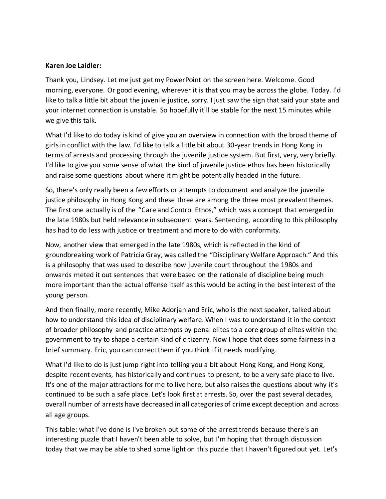# **Karen Joe Laidler:**

Thank you, Lindsey. Let me just get my PowerPoint on the screen here. Welcome. Good morning, everyone. Or good evening, wherever it is that you may be across the globe. Today. I'd like to talk a little bit about the juvenile justice, sorry. I just saw the sign that said your state and your internet connection is unstable. So hopefully it'll be stable for the next 15 minutes while we give this talk.

What I'd like to do today is kind of give you an overview in connection with the broad theme of girls in conflict with the law. I'd like to talk a little bit about 30-year trends in Hong Kong in terms of arrests and processing through the juvenile justice system. But first, very, very briefly. I'd like to give you some sense of what the kind of juvenile justice ethos has been historically and raise some questions about where it might be potentially headed in the future.

So, there's only really been a few efforts or attempts to document and analyze the juvenile justice philosophy in Hong Kong and these three are among the three most prevalent themes. The first one actually is of the "Care and Control Ethos," which was a concept that emerged in the late 1980s but held relevance in subsequent years. Sentencing, according to this philosophy has had to do less with justice or treatment and more to do with conformity.

Now, another view that emerged in the late 1980s, which is reflected in the kind of groundbreaking work of Patricia Gray, was called the "Disciplinary Welfare Approach." And this is a philosophy that was used to describe how juvenile court throughout the 1980s and onwards meted it out sentences that were based on the rationale of discipline being much more important than the actual offense itself as this would be acting in the best interest of the young person.

And then finally, more recently, Mike Adorjan and Eric, who is the next speaker, talked about how to understand this idea of disciplinary welfare. When I was to understand it in the context of broader philosophy and practice attempts by penal elites to a core group of elites within the government to try to shape a certain kind of citizenry. Now I hope that does some fairness in a brief summary. Eric, you can correct them if you think if it needs modifying.

What I'd like to do is just jump right into telling you a bit about Hong Kong, and Hong Kong, despite recent events, has historically and continues to present, to be a very safe place to live. It's one of the major attractions for me to live here, but also raises the questions about why it's continued to be such a safe place. Let's look first at arrests. So, over the past several decades, overall number of arrests have decreased in all categories of crime except deception and across all age groups.

This table: what I've done is I've broken out some of the arrest trends because there's an interesting puzzle that I haven't been able to solve, but I'm hoping that through discussion today that we may be able to shed some light on this puzzle that I haven't figured out yet. Let's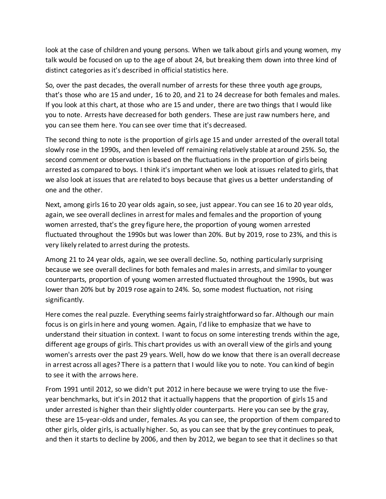look at the case of children and young persons. When we talk about girls and young women, my talk would be focused on up to the age of about 24, but breaking them down into three kind of distinct categories as it's described in official statistics here.

So, over the past decades, the overall number of arrests for these three youth age groups, that's those who are 15 and under, 16 to 20, and 21 to 24 decrease for both females and males. If you look at this chart, at those who are 15 and under, there are two things that I would like you to note. Arrests have decreased for both genders. These are just raw numbers here, and you can see them here. You can see over time that it's decreased.

The second thing to note is the proportion of girls age 15 and under arrested of the overall total slowly rose in the 1990s, and then leveled off remaining relatively stable at around 25%. So, the second comment or observation is based on the fluctuations in the proportion of girls being arrested as compared to boys. I think it's important when we look at issues related to girls, that we also look at issues that are related to boys because that gives us a better understanding of one and the other.

Next, among girls 16 to 20 year olds again, so see, just appear. You can see 16 to 20 year olds, again, we see overall declines in arrest for males and females and the proportion of young women arrested, that's the grey figure here, the proportion of young women arrested fluctuated throughout the 1990s but was lower than 20%. But by 2019, rose to 23%, and this is very likely related to arrest during the protests.

Among 21 to 24 year olds, again, we see overall decline. So, nothing particularly surprising because we see overall declines for both females and males in arrests, and similar to younger counterparts, proportion of young women arrested fluctuated throughout the 1990s, but was lower than 20% but by 2019 rose again to 24%. So, some modest fluctuation, not rising significantly.

Here comes the real puzzle. Everything seems fairly straightforward so far. Although our main focus is on girls in here and young women. Again, I'd like to emphasize that we have to understand their situation in context. I want to focus on some interesting trends within the age, different age groups of girls. This chart provides us with an overall view of the girls and young women's arrests over the past 29 years. Well, how do we know that there is an overall decrease in arrest across all ages? There is a pattern that I would like you to note. You can kind of begin to see it with the arrows here.

From 1991 until 2012, so we didn't put 2012 in here because we were trying to use the fiveyear benchmarks, but it's in 2012 that it actually happens that the proportion of girls 15 and under arrested is higher than their slightly older counterparts. Here you can see by the gray, these are 15-year-olds and under, females. As you can see, the proportion of them compared to other girls, older girls, is actually higher. So, as you can see that by the grey continues to peak, and then it starts to decline by 2006, and then by 2012, we began to see that it declines so that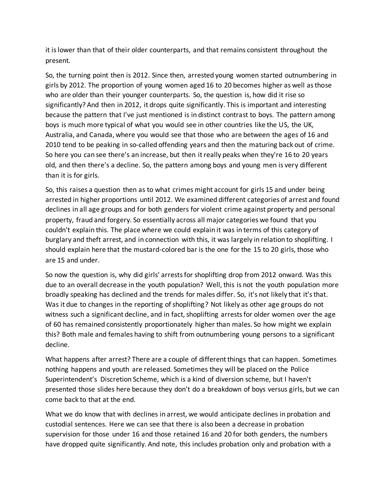it is lower than that of their older counterparts, and that remains consistent throughout the present.

So, the turning point then is 2012. Since then, arrested young women started outnumbering in girls by 2012. The proportion of young women aged 16 to 20 becomes higher as well as those who are older than their younger counterparts. So, the question is, how did it rise so significantly? And then in 2012, it drops quite significantly. This is important and interesting because the pattern that I've just mentioned is in distinct contrast to boys. The pattern among boys is much more typical of what you would see in other countries like the US, the UK, Australia, and Canada, where you would see that those who are between the ages of 16 and 2010 tend to be peaking in so-called offending years and then the maturing back out of crime. So here you can see there's an increase, but then it really peaks when they're 16 to 20 years old, and then there's a decline. So, the pattern among boys and young men is very different than it is for girls.

So, this raises a question then as to what crimes might account for girls 15 and under being arrested in higher proportions until 2012. We examined different categories of arrest and found declines in all age groups and for both genders for violent crime against property and personal property, fraud and forgery. So essentially across all major categories we found that you couldn't explain this. The place where we could explain it was in terms of this category of burglary and theft arrest, and in connection with this, it was largely in relation to shoplifting. I should explain here that the mustard-colored bar is the one for the 15 to 20 girls, those who are 15 and under.

So now the question is, why did girls' arrests for shoplifting drop from 2012 onward. Was this due to an overall decrease in the youth population? Well, this is not the youth population more broadly speaking has declined and the trends for males differ. So, it's not likely that it's that. Was it due to changes in the reporting of shoplifting? Not likely as other age groups do not witness such a significant decline, and in fact, shoplifting arrests for older women over the age of 60 has remained consistently proportionately higher than males. So how might we explain this? Both male and females having to shift from outnumbering young persons to a significant decline.

What happens after arrest? There are a couple of different things that can happen. Sometimes nothing happens and youth are released. Sometimes they will be placed on the Police Superintendent's Discretion Scheme, which is a kind of diversion scheme, but I haven't presented those slides here because they don't do a breakdown of boys versus girls, but we can come back to that at the end.

What we do know that with declines in arrest, we would anticipate declines in probation and custodial sentences. Here we can see that there is also been a decrease in probation supervision for those under 16 and those retained 16 and 20 for both genders, the numbers have dropped quite significantly. And note, this includes probation only and probation with a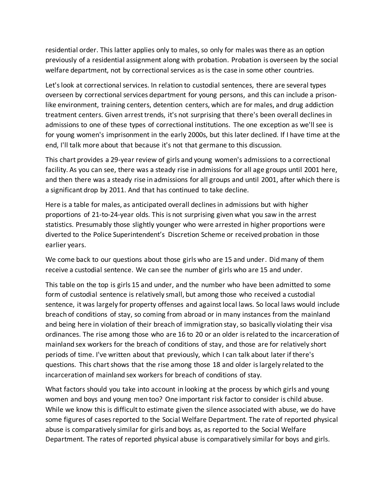residential order. This latter applies only to males, so only for males was there as an option previously of a residential assignment along with probation. Probation is overseen by the social welfare department, not by correctional services as is the case in some other countries.

Let's look at correctional services. In relation to custodial sentences, there are several types overseen by correctional services department for young persons, and this can include a prisonlike environment, training centers, detention centers, which are for males, and drug addiction treatment centers. Given arrest trends, it's not surprising that there's been overall declines in admissions to one of these types of correctional institutions. The one exception as we'll see is for young women's imprisonment in the early 2000s, but this later declined. If I have time at the end, I'll talk more about that because it's not that germane to this discussion.

This chart provides a 29-year review of girls and young women's admissions to a correctional facility. As you can see, there was a steady rise in admissions for all age groups until 2001 here, and then there was a steady rise in admissions for all groups and until 2001, after which there is a significant drop by 2011. And that has continued to take decline.

Here is a table for males, as anticipated overall declines in admissions but with higher proportions of 21-to-24-year olds. This is not surprising given what you saw in the arrest statistics. Presumably those slightly younger who were arrested in higher proportions were diverted to the Police Superintendent's Discretion Scheme or received probation in those earlier years.

We come back to our questions about those girls who are 15 and under. Did many of them receive a custodial sentence. We can see the number of girls who are 15 and under.

This table on the top is girls 15 and under, and the number who have been admitted to some form of custodial sentence is relatively small, but among those who received a custodial sentence, it was largely for property offenses and against local laws. So local laws would include breach of conditions of stay, so coming from abroad or in many instances from the mainland and being here in violation of their breach of immigration stay, so basically violating their visa ordinances. The rise among those who are 16 to 20 or an older is related to the incarceration of mainland sex workers for the breach of conditions of stay, and those are for relatively short periods of time. I've written about that previously, which I can talk about later if there's questions. This chart shows that the rise among those 18 and older is largely related to the incarceration of mainland sex workers for breach of conditions of stay.

What factors should you take into account in looking at the process by which girls and young women and boys and young men too? One important risk factor to consider is child abuse. While we know this is difficult to estimate given the silence associated with abuse, we do have some figures of cases reported to the Social Welfare Department. The rate of reported physical abuse is comparatively similar for girls and boys as, as reported to the Social Welfare Department. The rates of reported physical abuse is comparatively similar for boys and girls.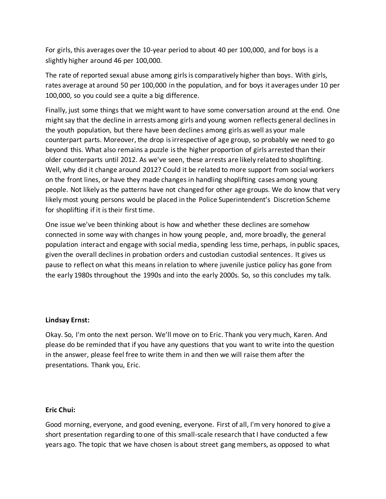For girls, this averages over the 10-year period to about 40 per 100,000, and for boys is a slightly higher around 46 per 100,000.

The rate of reported sexual abuse among girls is comparatively higher than boys. With girls, rates average at around 50 per 100,000 in the population, and for boys it averages under 10 per 100,000, so you could see a quite a big difference.

Finally, just some things that we might want to have some conversation around at the end. One might say that the decline in arrests among girls and young women reflects general declines in the youth population, but there have been declines among girls as well as your male counterpart parts. Moreover, the drop is irrespective of age group, so probably we need to go beyond this. What also remains a puzzle is the higher proportion of girls arrested than their older counterparts until 2012. As we've seen, these arrests are likely related to shoplifting. Well, why did it change around 2012? Could it be related to more support from social workers on the front lines, or have they made changes in handling shoplifting cases among young people. Not likely as the patterns have not changed for other age groups. We do know that very likely most young persons would be placed in the Police Superintendent's Discretion Scheme for shoplifting if it is their first time.

One issue we've been thinking about is how and whether these declines are somehow connected in some way with changes in how young people, and, more broadly, the general population interact and engage with social media, spending less time, perhaps, in public spaces, given the overall declines in probation orders and custodian custodial sentences. It gives us pause to reflect on what this means in relation to where juvenile justice policy has gone from the early 1980s throughout the 1990s and into the early 2000s. So, so this concludes my talk.

# **Lindsay Ernst:**

Okay. So, I'm onto the next person. We'll move on to Eric. Thank you very much, Karen. And please do be reminded that if you have any questions that you want to write into the question in the answer, please feel free to write them in and then we will raise them after the presentations. Thank you, Eric.

# **Eric Chui:**

Good morning, everyone, and good evening, everyone. First of all, I'm very honored to give a short presentation regarding to one of this small-scale research that I have conducted a few years ago. The topic that we have chosen is about street gang members, as opposed to what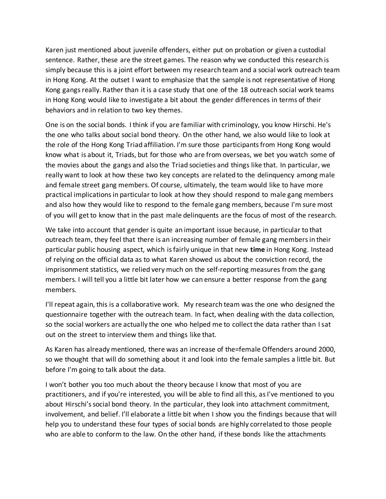Karen just mentioned about juvenile offenders, either put on probation or given a custodial sentence. Rather, these are the street games. The reason why we conducted this research is simply because this is a joint effort between my research team and a social work outreach team in Hong Kong. At the outset I want to emphasize that the sample is not representative of Hong Kong gangs really. Rather than it is a case study that one of the 18 outreach social work teams in Hong Kong would like to investigate a bit about the gender differences in terms of their behaviors and in relation to two key themes.

One is on the social bonds. I think if you are familiar with criminology, you know Hirschi. He's the one who talks about social bond theory. On the other hand, we also would like to look at the role of the Hong Kong Triad affiliation. I'm sure those participants from Hong Kong would know what is about it, Triads, but for those who are from overseas, we bet you watch some of the movies about the gangs and also the Triad societies and things like that. In particular, we really want to look at how these two key concepts are related to the delinquency among male and female street gang members. Of course, ultimately, the team would like to have more practical implicationsin particular to look at how they should respond to male gang members and also how they would like to respond to the female gang members, because I'm sure most of you will get to know that in the past male delinquents are the focus of most of the research.

We take into account that gender is quite an important issue because, in particular to that outreach team, they feel that there is an increasing number of female gang members in their particular public housing aspect, which is fairly unique in that new **time** in Hong Kong. Instead of relying on the official data as to what Karen showed us about the conviction record, the imprisonment statistics, we relied very much on the self-reporting measures from the gang members. I will tell you a little bit later how we can ensure a better response from the gang members.

I'll repeat again, this is a collaborative work. My research team was the one who designed the questionnaire together with the outreach team. In fact, when dealing with the data collection, so the social workers are actually the one who helped me to collect the data rather than I sat out on the street to interview them and things like that.

As Karen has already mentioned, there was an increase of the=female Offenders around 2000, so we thought that will do something about it and look into the female samples a little bit. But before I'm going to talk about the data.

I won't bother you too much about the theory because I know that most of you are practitioners, and if you're interested, you will be able to find all this, as I've mentioned to you about Hirschi'ssocial bond theory. In the particular, they look into attachment commitment, involvement, and belief. I'll elaborate a little bit when I show you the findings because that will help you to understand these four types of social bonds are highly correlated to those people who are able to conform to the law. On the other hand, if these bonds like the attachments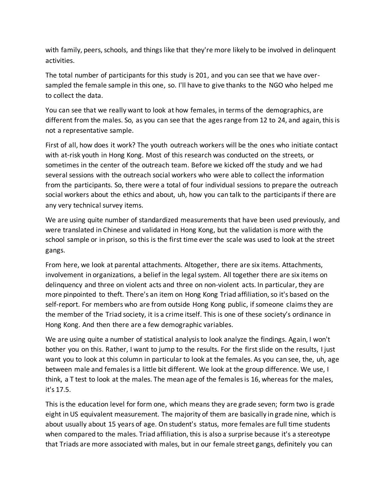with family, peers, schools, and things like that they're more likely to be involved in delinquent activities.

The total number of participants for this study is 201, and you can see that we have oversampled the female sample in this one, so. I'll have to give thanks to the NGO who helped me to collect the data.

You can see that we really want to look at how females, in terms of the demographics, are different from the males. So, as you can see that the agesrange from 12 to 24, and again, this is not a representative sample.

First of all, how does it work? The youth outreach workers will be the ones who initiate contact with at-risk youth in Hong Kong. Most of this research was conducted on the streets, or sometimes in the center of the outreach team. Before we kicked off the study and we had several sessions with the outreach social workers who were able to collect the information from the participants. So, there were a total of four individual sessions to prepare the outreach social workers about the ethics and about, uh, how you can talk to the participants if there are any very technical survey items.

We are using quite number of standardized measurements that have been used previously, and were translated in Chinese and validated in Hong Kong, but the validation is more with the school sample or in prison, so this is the first time ever the scale was used to look at the street gangs.

From here, we look at parental attachments. Altogether, there are six items. Attachments, involvement in organizations, a belief in the legal system. All together there are six items on delinquency and three on violent acts and three on non-violent acts. In particular, they are more pinpointed to theft. There's an item on Hong Kong Triad affiliation, so it's based on the self-report. For members who are from outside Hong Kong public, if someone claims they are the member of the Triad society, it is a crime itself. This is one of these society's ordinance in Hong Kong. And then there are a few demographic variables.

We are using quite a number of statistical analysis to look analyze the findings. Again, I won't bother you on this. Rather, I want to jump to the results. For the first slide on the results, I just want you to look at this column in particular to look at the females. As you can see, the, uh, age between male and females is a little bit different. We look at the group difference. We use, I think, a T test to look at the males. The mean age of the females is 16, whereas for the males, it's 17.5.

This is the education level for form one, which means they are grade seven; form two is grade eight in US equivalent measurement. The majority of them are basically in grade nine, which is about usually about 15 years of age. On student's status, more females are full time students when compared to the males. Triad affiliation, this is also a surprise because it's a stereotype that Triads are more associated with males, but in our female street gangs, definitely you can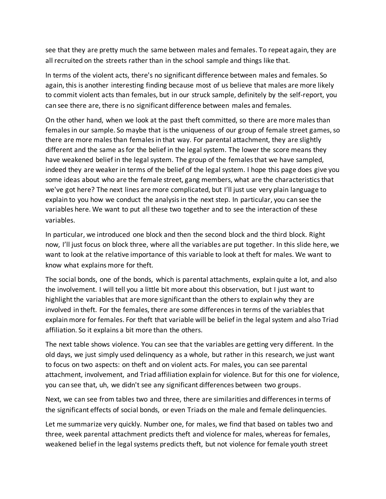see that they are pretty much the same between males and females. To repeat again, they are all recruited on the streets rather than in the school sample and things like that.

In terms of the violent acts, there's no significant difference between males and females. So again, this is another interesting finding because most of us believe that males are more likely to commit violent acts than females, but in our struck sample, definitely by the self-report, you can see there are, there is no significant difference between males and females.

On the other hand, when we look at the past theft committed, so there are more males than females in our sample. So maybe that is the uniqueness of our group of female street games, so there are more males than females in that way. For parental attachment, they are slightly different and the same as for the belief in the legal system. The lower the score means they have weakened belief in the legal system. The group of the females that we have sampled, indeed they are weaker in terms of the belief of the legal system. I hope this page does give you some ideas about who are the female street, gang members, what are the characteristics that we've got here? The next lines are more complicated, but I'll just use very plain language to explain to you how we conduct the analysis in the next step. In particular, you can see the variables here. We want to put all these two together and to see the interaction of these variables.

In particular, we introduced one block and then the second block and the third block. Right now, I'll just focus on block three, where all the variables are put together. In this slide here, we want to look at the relative importance of this variable to look at theft for males. We want to know what explains more for theft.

The social bonds, one of the bonds, which is parental attachments, explain quite a lot, and also the involvement. I will tell you a little bit more about this observation, but I just want to highlight the variables that are more significant than the others to explain why they are involved in theft. For the females, there are some differences in terms of the variables that explain more for females. For theft that variable will be belief in the legal system and also Triad affiliation. So it explains a bit more than the others.

The next table shows violence. You can see that the variables are getting very different. In the old days, we just simply used delinquency as a whole, but rather in this research, we just want to focus on two aspects: on theft and on violent acts. For males, you can see parental attachment, involvement, and Triad affiliation explain for violence. But for this one for violence, you can see that, uh, we didn't see any significant differences between two groups.

Next, we can see from tables two and three, there are similarities and differences in terms of the significant effects of social bonds, or even Triads on the male and female delinquencies.

Let me summarize very quickly. Number one, for males, we find that based on tables two and three, week parental attachment predicts theft and violence for males, whereas for females, weakened belief in the legal systems predicts theft, but not violence for female youth street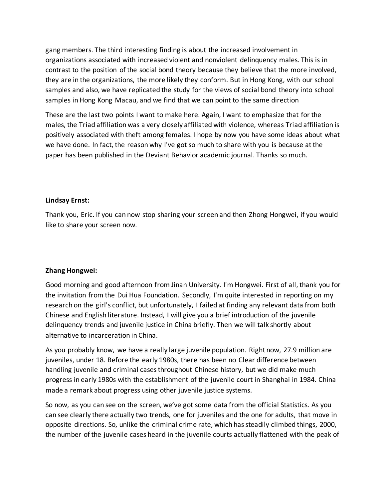gang members. The third interesting finding is about the increased involvement in organizations associated with increased violent and nonviolent delinquency males. This is in contrast to the position of the social bond theory because they believe that the more involved, they are in the organizations, the more likely they conform. But in Hong Kong, with our school samples and also, we have replicated the study for the views of social bond theory into school samples in Hong Kong Macau, and we find that we can point to the same direction

These are the last two points I want to make here. Again, I want to emphasize that for the males, the Triad affiliation was a very closely affiliated with violence, whereas Triad affiliation is positively associated with theft among females. I hope by now you have some ideas about what we have done. In fact, the reason why I've got so much to share with you is because at the paper has been published in the Deviant Behavior academic journal. Thanks so much.

### **Lindsay Ernst:**

Thank you, Eric. If you can now stop sharing your screen and then Zhong Hongwei, if you would like to share your screen now.

# **Zhang Hongwei:**

Good morning and good afternoon from Jinan University. I'm Hongwei. First of all, thank you for the invitation from the Dui Hua Foundation. Secondly, I'm quite interested in reporting on my research on the girl's conflict, but unfortunately, I failed at finding any relevant data from both Chinese and English literature. Instead, I will give you a brief introduction of the juvenile delinquency trends and juvenile justice in China briefly. Then we will talk shortly about alternative to incarceration in China.

As you probably know, we have a really large juvenile population. Right now, 27.9 million are juveniles, under 18. Before the early 1980s, there has been no Clear difference between handling juvenile and criminal cases throughout Chinese history, but we did make much progress in early 1980s with the establishment of the juvenile court in Shanghai in 1984. China made a remark about progress using other juvenile justice systems.

So now, as you can see on the screen, we've got some data from the official Statistics. As you can see clearly there actually two trends, one for juveniles and the one for adults, that move in opposite directions. So, unlike the criminal crime rate, which has steadily climbed things, 2000, the number of the juvenile cases heard in the juvenile courts actually flattened with the peak of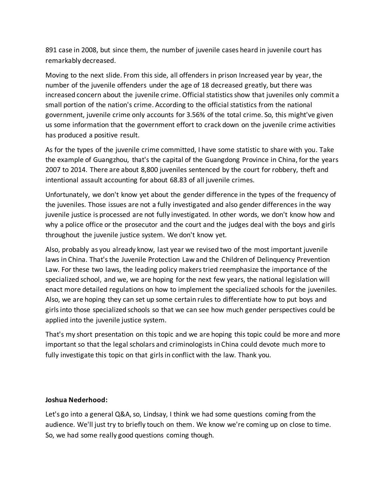891 case in 2008, but since them, the number of juvenile cases heard in juvenile court has remarkably decreased.

Moving to the next slide. From this side, all offenders in prison Increased year by year, the number of the juvenile offenders under the age of 18 decreased greatly, but there was increased concern about the juvenile crime. Official statistics show that juveniles only commit a small portion of the nation's crime. According to the official statistics from the national government, juvenile crime only accounts for 3.56% of the total crime. So, this might've given us some information that the government effort to crack down on the juvenile crime activities has produced a positive result.

As for the types of the juvenile crime committed, I have some statistic to share with you. Take the example of Guangzhou, that's the capital of the Guangdong Province in China, for the years 2007 to 2014. There are about 8,800 juveniles sentenced by the court for robbery, theft and intentional assault accounting for about 68.83 of all juvenile crimes.

Unfortunately, we don't know yet about the gender difference in the types of the frequency of the juveniles. Those issues are not a fully investigated and also gender differences in the way juvenile justice is processed are not fully investigated. In other words, we don't know how and why a police office or the prosecutor and the court and the judges deal with the boys and girls throughout the juvenile justice system. We don't know yet.

Also, probably as you already know, last year we revised two of the most important juvenile laws in China. That's the Juvenile Protection Law and the Children of Delinquency Prevention Law. For these two laws, the leading policy makers tried reemphasize the importance of the specialized school, and we, we are hoping for the next few years, the national legislation will enact more detailed regulations on how to implement the specialized schools for the juveniles. Also, we are hoping they can set up some certain rules to differentiate how to put boys and girlsinto those specialized schools so that we can see how much gender perspectives could be applied into the juvenile justice system.

That's my short presentation on this topic and we are hoping this topic could be more and more important so that the legal scholars and criminologists in China could devote much more to fully investigate this topic on that girlsin conflict with the law. Thank you.

# **Joshua Nederhood:**

Let's go into a general Q&A, so, Lindsay, I think we had some questions coming from the audience. We'll just try to briefly touch on them. We know we're coming up on close to time. So, we had some really good questions coming though.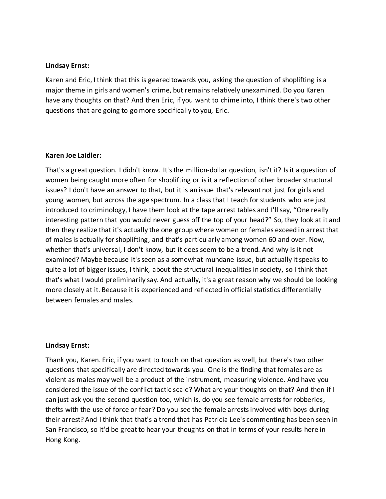### **Lindsay Ernst:**

Karen and Eric, I think that this is geared towards you, asking the question of shoplifting is a major theme in girls and women's crime, but remains relatively unexamined. Do you Karen have any thoughts on that? And then Eric, if you want to chime into, I think there's two other questions that are going to go more specifically to you, Eric.

### **Karen Joe Laidler:**

That's a great question. I didn't know. It's the million-dollar question, isn't it? Is it a question of women being caught more often for shoplifting or is it a reflection of other broader structural issues? I don't have an answer to that, but it is an issue that's relevant not just for girls and young women, but across the age spectrum. In a class that I teach for students who are just introduced to criminology, I have them look at the tape arrest tables and I'll say, "One really interesting pattern that you would never guess off the top of your head?" So, they look at it and then they realize that it's actually the one group where women or females exceed in arrest that of males is actually for shoplifting, and that's particularly among women 60 and over. Now, whether that's universal, I don't know, but it does seem to be a trend. And why is it not examined? Maybe because it's seen as a somewhat mundane issue, but actually it speaks to quite a lot of bigger issues, I think, about the structural inequalities in society, so I think that that's what I would preliminarily say. And actually, it's a great reason why we should be looking more closely at it. Because it is experienced and reflected in official statistics differentially between females and males.

# **Lindsay Ernst:**

Thank you, Karen. Eric, if you want to touch on that question as well, but there's two other questions that specifically are directed towards you. One is the finding that females are as violent as males may well be a product of the instrument, measuring violence. And have you considered the issue of the conflict tactic scale? What are your thoughts on that? And then if I can just ask you the second question too, which is, do you see female arrests for robberies, thefts with the use of force or fear? Do you see the female arrests involved with boys during their arrest? And I think that that's a trend that has Patricia Lee's commenting has been seen in San Francisco, so it'd be great to hear your thoughts on that in terms of your results here in Hong Kong.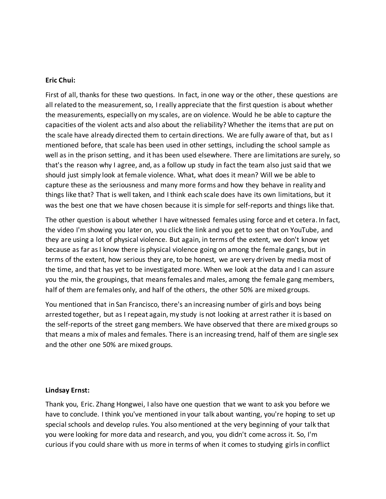#### **Eric Chui:**

First of all, thanks for these two questions. In fact, in one way or the other, these questions are all related to the measurement, so, I really appreciate that the first question is about whether the measurements, especially on my scales, are on violence. Would he be able to capture the capacities of the violent acts and also about the reliability? Whether the items that are put on the scale have already directed them to certain directions. We are fully aware of that, but as I mentioned before, that scale has been used in other settings, including the school sample as well as in the prison setting, and it has been used elsewhere. There are limitations are surely, so that's the reason why I agree, and, as a follow up study in fact the team also just said that we should just simply look at female violence. What, what does it mean? Will we be able to capture these as the seriousness and many more forms and how they behave in reality and things like that? That is well taken, and I think each scale does have its own limitations, but it was the best one that we have chosen because it is simple for self-reports and things like that.

The other question is about whether I have witnessed females using force and et cetera. In fact, the video I'm showing you later on, you click the link and you get to see that on YouTube, and they are using a lot of physical violence. But again, in terms of the extent, we don't know yet because as far as I know there is physical violence going on among the female gangs, but in terms of the extent, how serious they are, to be honest, we are very driven by media most of the time, and that has yet to be investigated more. When we look at the data and I can assure you the mix, the groupings, that means females and males, among the female gang members, half of them are females only, and half of the others, the other 50% are mixed groups.

You mentioned that in San Francisco, there's an increasing number of girls and boys being arrested together, but as I repeat again, my study is not looking at arrest rather it is based on the self-reports of the street gang members. We have observed that there are mixed groups so that means a mix of males and females. There is an increasing trend, half of them are single sex and the other one 50% are mixed groups.

#### **Lindsay Ernst:**

Thank you, Eric. Zhang Hongwei, I also have one question that we want to ask you before we have to conclude. I think you've mentioned in your talk about wanting, you're hoping to set up special schools and develop rules. You also mentioned at the very beginning of your talk that you were looking for more data and research, and you, you didn't come across it. So, I'm curious if you could share with us more in terms of when it comes to studying girls in conflict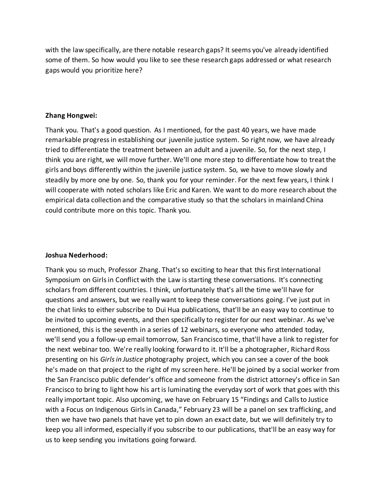with the law specifically, are there notable research gaps? It seems you've already identified some of them. So how would you like to see these research gaps addressed or what research gaps would you prioritize here?

### **Zhang Hongwei:**

Thank you. That's a good question. As I mentioned, for the past 40 years, we have made remarkable progressin establishing our juvenile justice system. So right now, we have already tried to differentiate the treatment between an adult and a juvenile. So, for the next step, I think you are right, we will move further. We'll one more step to differentiate how to treat the girls and boys differently within the juvenile justice system. So, we have to move slowly and steadily by more one by one. So, thank you for your reminder. For the next few years, I think I will cooperate with noted scholars like Eric and Karen. We want to do more research about the empirical data collection and the comparative study so that the scholars in mainland China could contribute more on this topic. Thank you.

# **Joshua Nederhood:**

Thank you so much, Professor Zhang. That's so exciting to hear that this first International Symposium on Girls in Conflict with the Law is starting these conversations. It's connecting scholars from different countries. I think, unfortunately that's all the time we'll have for questions and answers, but we really want to keep these conversations going. I've just put in the chat links to either subscribe to Dui Hua publications, that'll be an easy way to continue to be invited to upcoming events, and then specifically to register for our next webinar. As we've mentioned, this is the seventh in a series of 12 webinars, so everyone who attended today, we'll send you a follow-up email tomorrow, San Francisco time, that'll have a link to register for the next webinar too. We're really looking forward to it. It'll be a photographer, Richard Ross presenting on his *Girls in Justice* photography project, which you can see a cover of the book he's made on that project to the right of my screen here. He'll be joined by a social worker from the San Francisco public defender's office and someone from the district attorney's office in San Francisco to bring to light how his art is luminating the everyday sort of work that goes with this really important topic. Also upcoming, we have on February 15 "Findings and Calls to Justice with a Focus on Indigenous Girls in Canada," February 23 will be a panel on sex trafficking, and then we have two panels that have yet to pin down an exact date, but we will definitely try to keep you all informed, especially if you subscribe to our publications, that'll be an easy way for us to keep sending you invitations going forward.